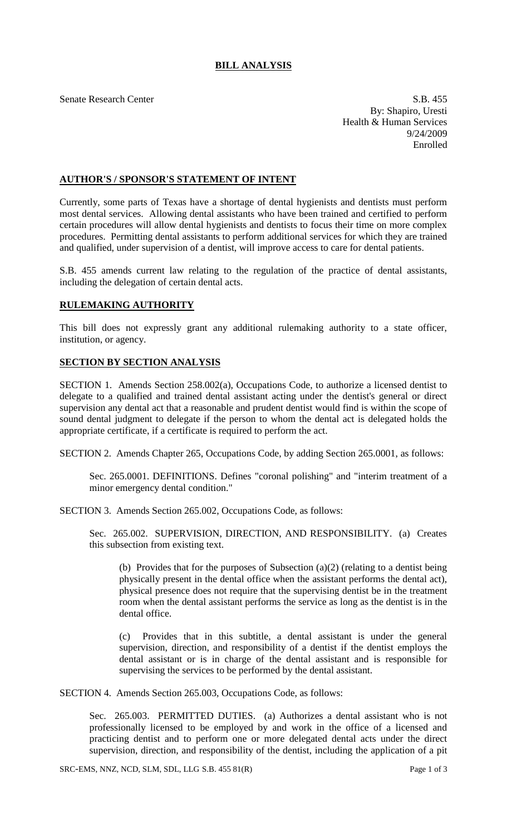## **BILL ANALYSIS**

Senate Research Center S.B. 455 By: Shapiro, Uresti Health & Human Services 9/24/2009 Enrolled

## **AUTHOR'S / SPONSOR'S STATEMENT OF INTENT**

Currently, some parts of Texas have a shortage of dental hygienists and dentists must perform most dental services. Allowing dental assistants who have been trained and certified to perform certain procedures will allow dental hygienists and dentists to focus their time on more complex procedures. Permitting dental assistants to perform additional services for which they are trained and qualified, under supervision of a dentist, will improve access to care for dental patients.

S.B. 455 amends current law relating to the regulation of the practice of dental assistants, including the delegation of certain dental acts.

## **RULEMAKING AUTHORITY**

This bill does not expressly grant any additional rulemaking authority to a state officer, institution, or agency.

## **SECTION BY SECTION ANALYSIS**

SECTION 1. Amends Section 258.002(a), Occupations Code, to authorize a licensed dentist to delegate to a qualified and trained dental assistant acting under the dentist's general or direct supervision any dental act that a reasonable and prudent dentist would find is within the scope of sound dental judgment to delegate if the person to whom the dental act is delegated holds the appropriate certificate, if a certificate is required to perform the act.

SECTION 2. Amends Chapter 265, Occupations Code, by adding Section 265.0001, as follows:

Sec. 265.0001. DEFINITIONS. Defines "coronal polishing" and "interim treatment of a minor emergency dental condition."

SECTION 3. Amends Section 265.002, Occupations Code, as follows:

Sec. 265.002. SUPERVISION, DIRECTION, AND RESPONSIBILITY. (a) Creates this subsection from existing text.

(b) Provides that for the purposes of Subsection (a)(2) (relating to a dentist being physically present in the dental office when the assistant performs the dental act), physical presence does not require that the supervising dentist be in the treatment room when the dental assistant performs the service as long as the dentist is in the dental office.

(c) Provides that in this subtitle, a dental assistant is under the general supervision, direction, and responsibility of a dentist if the dentist employs the dental assistant or is in charge of the dental assistant and is responsible for supervising the services to be performed by the dental assistant.

SECTION 4. Amends Section 265.003, Occupations Code, as follows:

Sec. 265.003. PERMITTED DUTIES. (a) Authorizes a dental assistant who is not professionally licensed to be employed by and work in the office of a licensed and practicing dentist and to perform one or more delegated dental acts under the direct supervision, direction, and responsibility of the dentist, including the application of a pit

SRC-EMS, NNZ, NCD, SLM, SDL, LLG S.B. 455 81(R) Page 1 of 3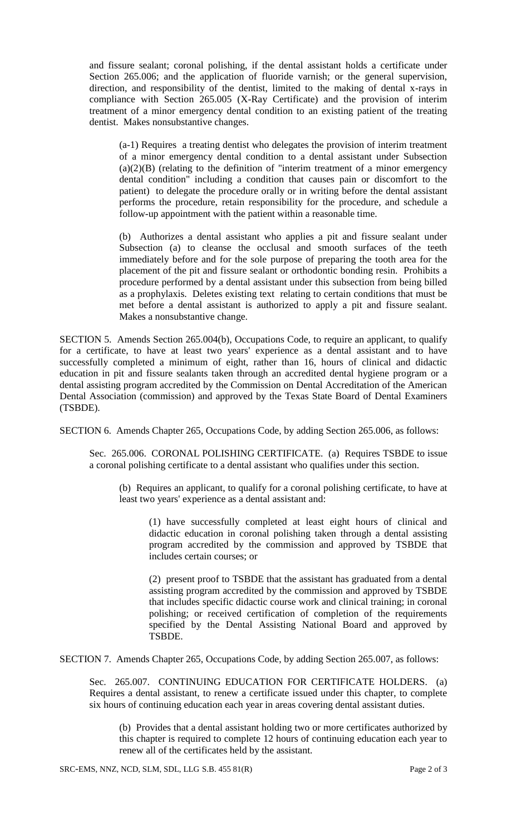and fissure sealant; coronal polishing, if the dental assistant holds a certificate under Section 265.006; and the application of fluoride varnish; or the general supervision, direction, and responsibility of the dentist, limited to the making of dental x-rays in compliance with Section 265.005 (X-Ray Certificate) and the provision of interim treatment of a minor emergency dental condition to an existing patient of the treating dentist. Makes nonsubstantive changes.

(a-1) Requires a treating dentist who delegates the provision of interim treatment of a minor emergency dental condition to a dental assistant under Subsection  $(a)(2)(B)$  (relating to the definition of "interim treatment of a minor emergency dental condition" including a condition that causes pain or discomfort to the patient) to delegate the procedure orally or in writing before the dental assistant performs the procedure, retain responsibility for the procedure, and schedule a follow-up appointment with the patient within a reasonable time.

(b) Authorizes a dental assistant who applies a pit and fissure sealant under Subsection (a) to cleanse the occlusal and smooth surfaces of the teeth immediately before and for the sole purpose of preparing the tooth area for the placement of the pit and fissure sealant or orthodontic bonding resin. Prohibits a procedure performed by a dental assistant under this subsection from being billed as a prophylaxis. Deletes existing text relating to certain conditions that must be met before a dental assistant is authorized to apply a pit and fissure sealant. Makes a nonsubstantive change.

SECTION 5. Amends Section 265.004(b), Occupations Code, to require an applicant, to qualify for a certificate, to have at least two years' experience as a dental assistant and to have successfully completed a minimum of eight, rather than 16, hours of clinical and didactic education in pit and fissure sealants taken through an accredited dental hygiene program or a dental assisting program accredited by the Commission on Dental Accreditation of the American Dental Association (commission) and approved by the Texas State Board of Dental Examiners (TSBDE).

SECTION 6. Amends Chapter 265, Occupations Code, by adding Section 265.006, as follows:

Sec. 265.006. CORONAL POLISHING CERTIFICATE. (a) Requires TSBDE to issue a coronal polishing certificate to a dental assistant who qualifies under this section.

(b) Requires an applicant, to qualify for a coronal polishing certificate, to have at least two years' experience as a dental assistant and:

(1) have successfully completed at least eight hours of clinical and didactic education in coronal polishing taken through a dental assisting program accredited by the commission and approved by TSBDE that includes certain courses; or

(2) present proof to TSBDE that the assistant has graduated from a dental assisting program accredited by the commission and approved by TSBDE that includes specific didactic course work and clinical training; in coronal polishing; or received certification of completion of the requirements specified by the Dental Assisting National Board and approved by TSBDE.

SECTION 7. Amends Chapter 265, Occupations Code, by adding Section 265.007, as follows:

Sec. 265.007. CONTINUING EDUCATION FOR CERTIFICATE HOLDERS. (a) Requires a dental assistant, to renew a certificate issued under this chapter, to complete six hours of continuing education each year in areas covering dental assistant duties.

(b) Provides that a dental assistant holding two or more certificates authorized by this chapter is required to complete 12 hours of continuing education each year to renew all of the certificates held by the assistant.